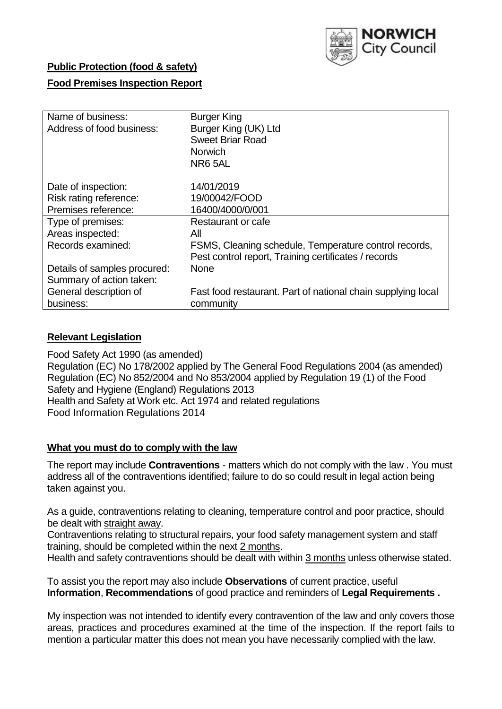

## **Public Protection (food & safety)**

### **Food Premises Inspection Report**

| Name of business:<br>Address of food business: | <b>Burger King</b><br>Burger King (UK) Ltd<br><b>Sweet Briar Road</b><br><b>Norwich</b><br>NR65AL             |
|------------------------------------------------|---------------------------------------------------------------------------------------------------------------|
| Date of inspection:                            | 14/01/2019                                                                                                    |
| Risk rating reference:                         | 19/00042/FOOD                                                                                                 |
| Premises reference:                            | 16400/4000/0/001                                                                                              |
| Type of premises:                              | Restaurant or cafe                                                                                            |
| Areas inspected:                               | All                                                                                                           |
| Records examined:                              | FSMS, Cleaning schedule, Temperature control records,<br>Pest control report, Training certificates / records |
| Details of samples procured:                   | <b>None</b>                                                                                                   |
| Summary of action taken:                       |                                                                                                               |
| General description of                         | Fast food restaurant. Part of national chain supplying local                                                  |
| business:                                      | community                                                                                                     |

### **Relevant Legislation**

Food Safety Act 1990 (as amended) Regulation (EC) No 178/2002 applied by The General Food Regulations 2004 (as amended) Regulation (EC) No 852/2004 and No 853/2004 applied by Regulation 19 (1) of the Food Safety and Hygiene (England) Regulations 2013 Health and Safety at Work etc. Act 1974 and related regulations Food Information Regulations 2014

### **What you must do to comply with the law**

The report may include **Contraventions** - matters which do not comply with the law . You must address all of the contraventions identified; failure to do so could result in legal action being taken against you.

As a guide, contraventions relating to cleaning, temperature control and poor practice, should be dealt with straight away.

Contraventions relating to structural repairs, your food safety management system and staff training, should be completed within the next 2 months.

Health and safety contraventions should be dealt with within 3 months unless otherwise stated.

To assist you the report may also include **Observations** of current practice, useful **Information**, **Recommendations** of good practice and reminders of **Legal Requirements .**

My inspection was not intended to identify every contravention of the law and only covers those areas, practices and procedures examined at the time of the inspection. If the report fails to mention a particular matter this does not mean you have necessarily complied with the law.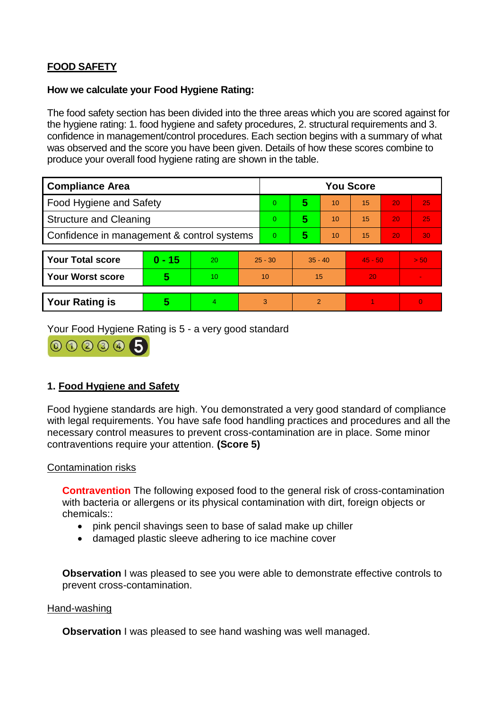# **FOOD SAFETY**

#### **How we calculate your Food Hygiene Rating:**

The food safety section has been divided into the three areas which you are scored against for the hygiene rating: 1. food hygiene and safety procedures, 2. structural requirements and 3. confidence in management/control procedures. Each section begins with a summary of what was observed and the score you have been given. Details of how these scores combine to produce your overall food hygiene rating are shown in the table.

| <b>Compliance Area</b>                     |          |    |                | <b>You Score</b> |           |    |           |    |                |  |  |
|--------------------------------------------|----------|----|----------------|------------------|-----------|----|-----------|----|----------------|--|--|
| Food Hygiene and Safety                    |          |    |                | $\Omega$         | 5         | 10 | 15        | 20 | 25             |  |  |
| <b>Structure and Cleaning</b>              |          |    | $\overline{0}$ | 5                | 10        | 15 | 20        | 25 |                |  |  |
| Confidence in management & control systems |          |    | $\overline{0}$ | 5                | 10        | 15 | 20        | 30 |                |  |  |
|                                            |          |    |                |                  |           |    |           |    |                |  |  |
| <b>Your Total score</b>                    | $0 - 15$ | 20 | $25 - 30$      |                  | $35 - 40$ |    | $45 - 50$ |    | > 50           |  |  |
| Your Worst score                           | 5        | 10 | 10             |                  | 15        |    | 20        |    |                |  |  |
|                                            |          |    |                |                  |           |    |           |    |                |  |  |
| <b>Your Rating is</b>                      | 5        | 4. | 3              |                  | 2         |    |           |    | $\overline{0}$ |  |  |

Your Food Hygiene Rating is 5 - a very good standard



## **1. Food Hygiene and Safety**

Food hygiene standards are high. You demonstrated a very good standard of compliance with legal requirements. You have safe food handling practices and procedures and all the necessary control measures to prevent cross-contamination are in place. Some minor contraventions require your attention. **(Score 5)**

### Contamination risks

**Contravention** The following exposed food to the general risk of cross-contamination with bacteria or allergens or its physical contamination with dirt, foreign objects or chemicals::

- pink pencil shavings seen to base of salad make up chiller
- damaged plastic sleeve adhering to ice machine cover

**Observation** I was pleased to see you were able to demonstrate effective controls to prevent cross-contamination.

#### Hand-washing

**Observation** I was pleased to see hand washing was well managed.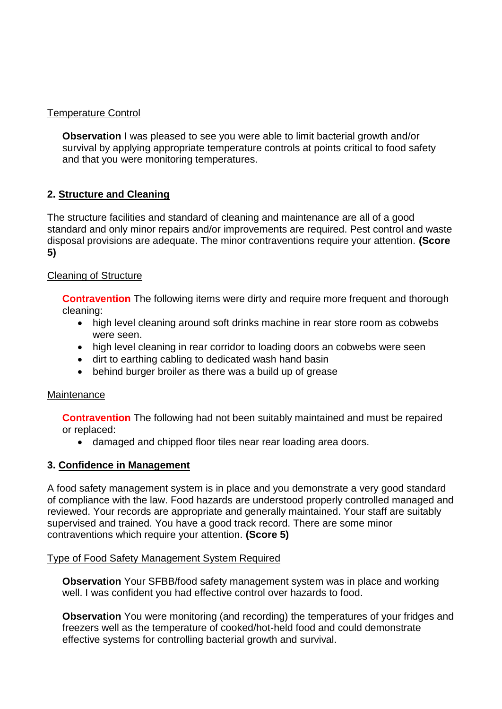## Temperature Control

**Observation I** was pleased to see you were able to limit bacterial growth and/or survival by applying appropriate temperature controls at points critical to food safety and that you were monitoring temperatures.

## **2. Structure and Cleaning**

The structure facilities and standard of cleaning and maintenance are all of a good standard and only minor repairs and/or improvements are required. Pest control and waste disposal provisions are adequate. The minor contraventions require your attention. **(Score 5)**

### Cleaning of Structure

**Contravention** The following items were dirty and require more frequent and thorough cleaning:

- high level cleaning around soft drinks machine in rear store room as cobwebs were seen.
- high level cleaning in rear corridor to loading doors an cobwebs were seen
- dirt to earthing cabling to dedicated wash hand basin
- behind burger broiler as there was a build up of grease

### **Maintenance**

**Contravention** The following had not been suitably maintained and must be repaired or replaced:

damaged and chipped floor tiles near rear loading area doors.

### **3. Confidence in Management**

A food safety management system is in place and you demonstrate a very good standard of compliance with the law. Food hazards are understood properly controlled managed and reviewed. Your records are appropriate and generally maintained. Your staff are suitably supervised and trained. You have a good track record. There are some minor contraventions which require your attention. **(Score 5)**

### Type of Food Safety Management System Required

**Observation** Your SFBB/food safety management system was in place and working well. I was confident you had effective control over hazards to food.

**Observation** You were monitoring (and recording) the temperatures of your fridges and freezers well as the temperature of cooked/hot-held food and could demonstrate effective systems for controlling bacterial growth and survival.